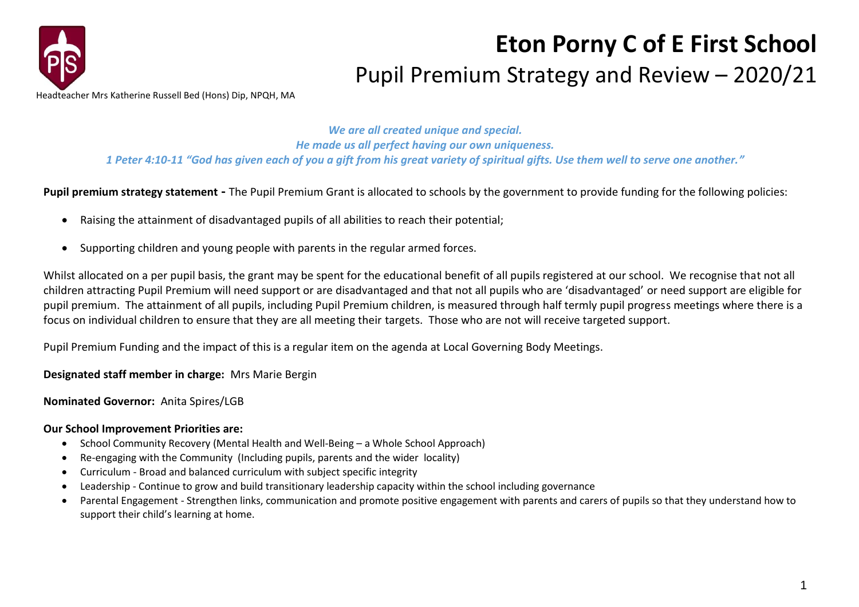

## **Eton Porny C of E First School** Pupil Premium Strategy and Review – 2020/21

*We are all created unique and special. He made us all perfect having our own uniqueness. 1 Peter 4:10-11 "God has given each of you a gift from his great variety of spiritual gifts. Use them well to serve one another."*

**Pupil premium strategy statement -** The Pupil Premium Grant is allocated to schools by the government to provide funding for the following policies:

- Raising the attainment of disadvantaged pupils of all abilities to reach their potential;
- Supporting children and young people with parents in the regular armed forces.

Whilst allocated on a per pupil basis, the grant may be spent for the educational benefit of all pupils registered at our school. We recognise that not all children attracting Pupil Premium will need support or are disadvantaged and that not all pupils who are 'disadvantaged' or need support are eligible for pupil premium. The attainment of all pupils, including Pupil Premium children, is measured through half termly pupil progress meetings where there is a focus on individual children to ensure that they are all meeting their targets. Those who are not will receive targeted support.

Pupil Premium Funding and the impact of this is a regular item on the agenda at Local Governing Body Meetings.

**Designated staff member in charge:** Mrs Marie Bergin

**Nominated Governor:** Anita Spires/LGB

## **Our School Improvement Priorities are:**

- School Community Recovery (Mental Health and Well-Being a Whole School Approach)
- Re-engaging with the Community (Including pupils, parents and the wider locality)
- Curriculum Broad and balanced curriculum with subject specific integrity
- Leadership Continue to grow and build transitionary leadership capacity within the school including governance
- Parental Engagement Strengthen links, communication and promote positive engagement with parents and carers of pupils so that they understand how to support their child's learning at home.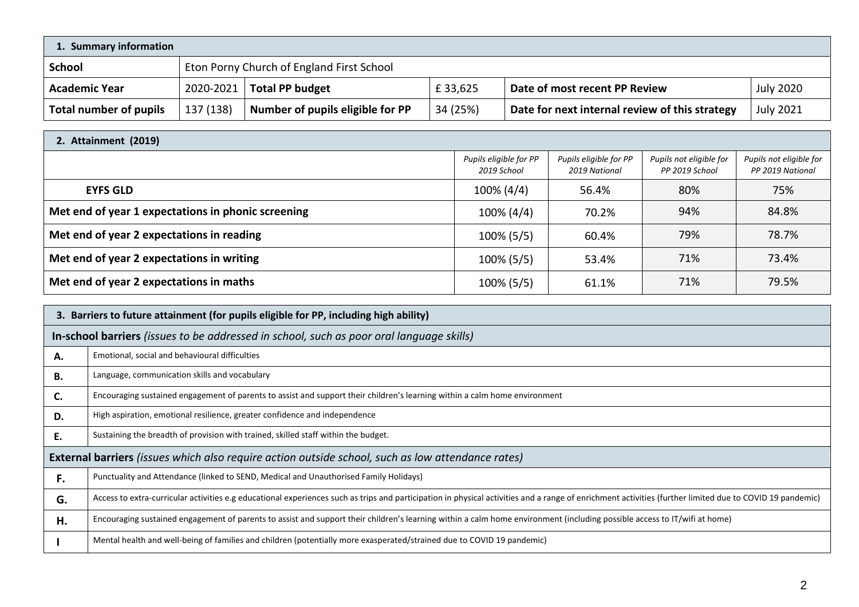| 1. Summary information        |           |                                           |          |                                                |                  |
|-------------------------------|-----------|-------------------------------------------|----------|------------------------------------------------|------------------|
| <b>School</b>                 |           | Eton Porny Church of England First School |          |                                                |                  |
| <b>Academic Year</b>          | 2020-2021 | <b>Total PP budget</b>                    | £33,625  | Date of most recent PP Review                  | <b>July 2020</b> |
| <b>Total number of pupils</b> | 137 (138) | Number of pupils eligible for PP          | 34 (25%) | Date for next internal review of this strategy | <b>July 2021</b> |

| 2. Attainment (2019)                               |                                       |                                         |                                           |                                             |  |
|----------------------------------------------------|---------------------------------------|-----------------------------------------|-------------------------------------------|---------------------------------------------|--|
|                                                    | Pupils eligible for PP<br>2019 School | Pupils eligible for PP<br>2019 National | Pupils not eligible for<br>PP 2019 School | Pupils not eligible for<br>PP 2019 National |  |
| <b>EYFS GLD</b>                                    | 100% (4/4)                            | 56.4%                                   | 80%                                       | 75%                                         |  |
| Met end of year 1 expectations in phonic screening | $100\% (4/4)$                         | 70.2%                                   | 94%                                       | 84.8%                                       |  |
| Met end of year 2 expectations in reading          | $100\%$ (5/5)                         | 60.4%                                   | 79%                                       | 78.7%                                       |  |
| Met end of year 2 expectations in writing          | $100\% (5/5)$                         | 53.4%                                   | 71%                                       | 73.4%                                       |  |
| Met end of year 2 expectations in maths            | $100\%$ (5/5)                         | 61.1%                                   | 71%                                       | 79.5%                                       |  |

| 3. Barriers to future attainment (for pupils eligible for PP, including high ability)             |                                                                                                                                                                                                          |  |  |
|---------------------------------------------------------------------------------------------------|----------------------------------------------------------------------------------------------------------------------------------------------------------------------------------------------------------|--|--|
|                                                                                                   | In-school barriers (issues to be addressed in school, such as poor oral language skills)                                                                                                                 |  |  |
| А.                                                                                                | Emotional, social and behavioural difficulties                                                                                                                                                           |  |  |
| В.                                                                                                | Language, communication skills and vocabulary                                                                                                                                                            |  |  |
| C.                                                                                                | Encouraging sustained engagement of parents to assist and support their children's learning within a calm home environment                                                                               |  |  |
| D.                                                                                                | High aspiration, emotional resilience, greater confidence and independence                                                                                                                               |  |  |
| Ε.                                                                                                | Sustaining the breadth of provision with trained, skilled staff within the budget.                                                                                                                       |  |  |
| External barriers (issues which also require action outside school, such as low attendance rates) |                                                                                                                                                                                                          |  |  |
| F.                                                                                                | Punctuality and Attendance (linked to SEND, Medical and Unauthorised Family Holidays)                                                                                                                    |  |  |
| G.                                                                                                | Access to extra-curricular activities e.g educational experiences such as trips and participation in physical activities and a range of enrichment activities (further limited due to COVID 19 pandemic) |  |  |
| Н.                                                                                                | Encouraging sustained engagement of parents to assist and support their children's learning within a calm home environment (including possible access to IT/wifi at home)                                |  |  |
|                                                                                                   | Mental health and well-being of families and children (potentially more exasperated/strained due to COVID 19 pandemic)                                                                                   |  |  |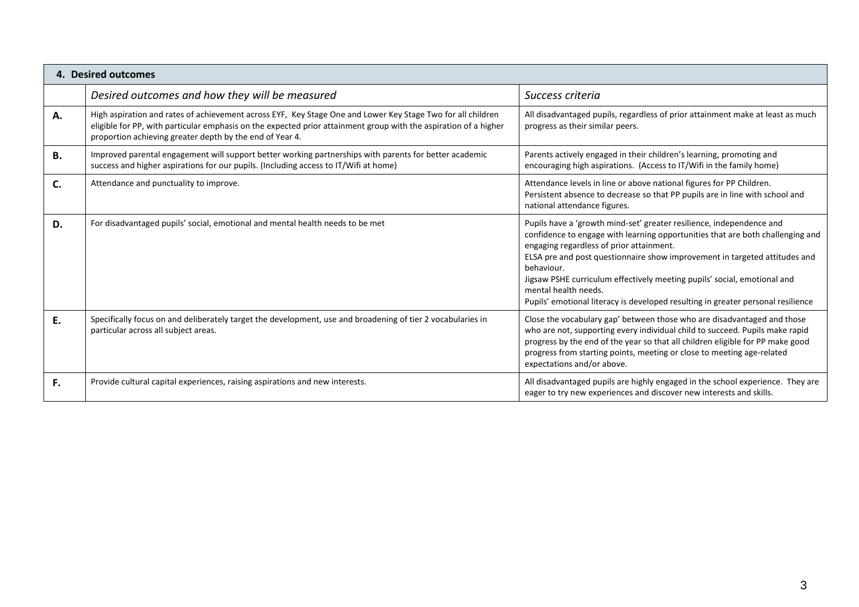| 4. Desired outcomes |                                                                                                                                                                                                                                                                                             |                                                                                                                                                                                                                                                                                                                                                                                                                                                                                        |  |
|---------------------|---------------------------------------------------------------------------------------------------------------------------------------------------------------------------------------------------------------------------------------------------------------------------------------------|----------------------------------------------------------------------------------------------------------------------------------------------------------------------------------------------------------------------------------------------------------------------------------------------------------------------------------------------------------------------------------------------------------------------------------------------------------------------------------------|--|
|                     | Desired outcomes and how they will be measured                                                                                                                                                                                                                                              | Success criteria                                                                                                                                                                                                                                                                                                                                                                                                                                                                       |  |
| Α.                  | High aspiration and rates of achievement across EYF, Key Stage One and Lower Key Stage Two for all children<br>eligible for PP, with particular emphasis on the expected prior attainment group with the aspiration of a higher<br>proportion achieving greater depth by the end of Year 4. | All disadvantaged pupils, regardless of prior attainment make at least as much<br>progress as their similar peers.                                                                                                                                                                                                                                                                                                                                                                     |  |
| В.                  | Improved parental engagement will support better working partnerships with parents for better academic<br>success and higher aspirations for our pupils. (Including access to IT/Wifi at home)                                                                                              | Parents actively engaged in their children's learning, promoting and<br>encouraging high aspirations. (Access to IT/Wifi in the family home)                                                                                                                                                                                                                                                                                                                                           |  |
| C.                  | Attendance and punctuality to improve.                                                                                                                                                                                                                                                      | Attendance levels in line or above national figures for PP Children.<br>Persistent absence to decrease so that PP pupils are in line with school and<br>national attendance figures.                                                                                                                                                                                                                                                                                                   |  |
| D.                  | For disadvantaged pupils' social, emotional and mental health needs to be met                                                                                                                                                                                                               | Pupils have a 'growth mind-set' greater resilience, independence and<br>confidence to engage with learning opportunities that are both challenging and<br>engaging regardless of prior attainment.<br>ELSA pre and post questionnaire show improvement in targeted attitudes and<br>behaviour.<br>Jigsaw PSHE curriculum effectively meeting pupils' social, emotional and<br>mental health needs.<br>Pupils' emotional literacy is developed resulting in greater personal resilience |  |
| Ε.                  | Specifically focus on and deliberately target the development, use and broadening of tier 2 vocabularies in<br>particular across all subject areas.                                                                                                                                         | Close the vocabulary gap' between those who are disadvantaged and those<br>who are not, supporting every individual child to succeed. Pupils make rapid<br>progress by the end of the year so that all children eligible for PP make good<br>progress from starting points, meeting or close to meeting age-related<br>expectations and/or above.                                                                                                                                      |  |
| F.                  | Provide cultural capital experiences, raising aspirations and new interests.                                                                                                                                                                                                                | All disadvantaged pupils are highly engaged in the school experience. They are<br>eager to try new experiences and discover new interests and skills.                                                                                                                                                                                                                                                                                                                                  |  |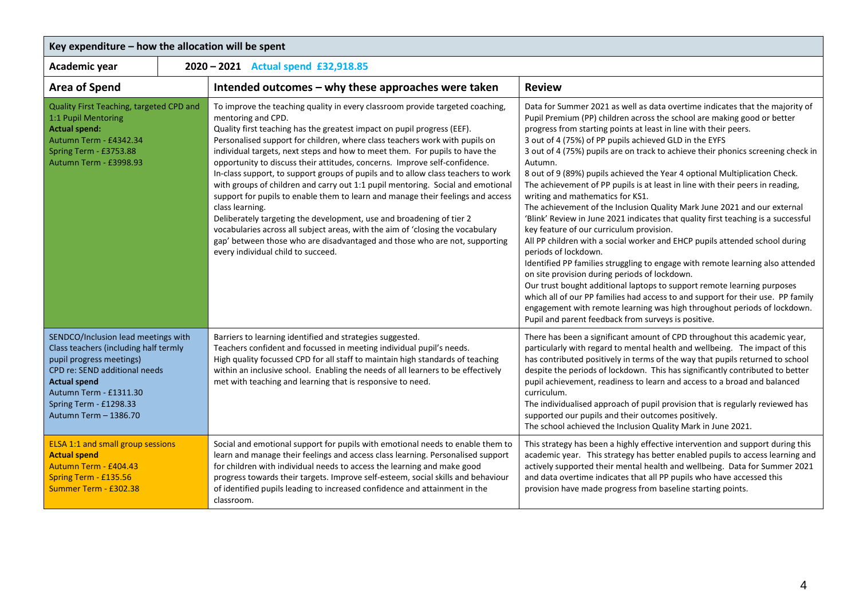| Key expenditure - how the allocation will be spent                                                                                                                                                                                            |  |                                                                                                                                                                                                                                                                                                                                                                                                                                                                                                                                                                                                                                                                                                                                                                                                                                                                                                                                                                                        |                                                                                                                                                                                                                                                                                                                                                                                                                                                                                                                                                                                                                                                                                                                                                                                                                                                                                                                                                                                                                                                                                                                                                                                                                                                                                                                                                 |  |  |
|-----------------------------------------------------------------------------------------------------------------------------------------------------------------------------------------------------------------------------------------------|--|----------------------------------------------------------------------------------------------------------------------------------------------------------------------------------------------------------------------------------------------------------------------------------------------------------------------------------------------------------------------------------------------------------------------------------------------------------------------------------------------------------------------------------------------------------------------------------------------------------------------------------------------------------------------------------------------------------------------------------------------------------------------------------------------------------------------------------------------------------------------------------------------------------------------------------------------------------------------------------------|-------------------------------------------------------------------------------------------------------------------------------------------------------------------------------------------------------------------------------------------------------------------------------------------------------------------------------------------------------------------------------------------------------------------------------------------------------------------------------------------------------------------------------------------------------------------------------------------------------------------------------------------------------------------------------------------------------------------------------------------------------------------------------------------------------------------------------------------------------------------------------------------------------------------------------------------------------------------------------------------------------------------------------------------------------------------------------------------------------------------------------------------------------------------------------------------------------------------------------------------------------------------------------------------------------------------------------------------------|--|--|
| Academic year                                                                                                                                                                                                                                 |  | 2020 - 2021 Actual spend £32,918.85                                                                                                                                                                                                                                                                                                                                                                                                                                                                                                                                                                                                                                                                                                                                                                                                                                                                                                                                                    |                                                                                                                                                                                                                                                                                                                                                                                                                                                                                                                                                                                                                                                                                                                                                                                                                                                                                                                                                                                                                                                                                                                                                                                                                                                                                                                                                 |  |  |
| <b>Area of Spend</b>                                                                                                                                                                                                                          |  | Intended outcomes - why these approaches were taken                                                                                                                                                                                                                                                                                                                                                                                                                                                                                                                                                                                                                                                                                                                                                                                                                                                                                                                                    | <b>Review</b>                                                                                                                                                                                                                                                                                                                                                                                                                                                                                                                                                                                                                                                                                                                                                                                                                                                                                                                                                                                                                                                                                                                                                                                                                                                                                                                                   |  |  |
| Quality First Teaching, targeted CPD and<br>1:1 Pupil Mentoring<br><b>Actual spend:</b><br>Autumn Term - £4342.34<br>Spring Term - £3753.88<br>Autumn Term - £3998.93                                                                         |  | To improve the teaching quality in every classroom provide targeted coaching,<br>mentoring and CPD.<br>Quality first teaching has the greatest impact on pupil progress (EEF).<br>Personalised support for children, where class teachers work with pupils on<br>individual targets, next steps and how to meet them. For pupils to have the<br>opportunity to discuss their attitudes, concerns. Improve self-confidence.<br>In-class support, to support groups of pupils and to allow class teachers to work<br>with groups of children and carry out 1:1 pupil mentoring. Social and emotional<br>support for pupils to enable them to learn and manage their feelings and access<br>class learning.<br>Deliberately targeting the development, use and broadening of tier 2<br>vocabularies across all subject areas, with the aim of 'closing the vocabulary<br>gap' between those who are disadvantaged and those who are not, supporting<br>every individual child to succeed. | Data for Summer 2021 as well as data overtime indicates that the majority of<br>Pupil Premium (PP) children across the school are making good or better<br>progress from starting points at least in line with their peers.<br>3 out of 4 (75%) of PP pupils achieved GLD in the EYFS<br>3 out of 4 (75%) pupils are on track to achieve their phonics screening check in<br>Autumn.<br>8 out of 9 (89%) pupils achieved the Year 4 optional Multiplication Check.<br>The achievement of PP pupils is at least in line with their peers in reading,<br>writing and mathematics for KS1.<br>The achievement of the Inclusion Quality Mark June 2021 and our external<br>'Blink' Review in June 2021 indicates that quality first teaching is a successful<br>key feature of our curriculum provision.<br>All PP children with a social worker and EHCP pupils attended school during<br>periods of lockdown.<br>Identified PP families struggling to engage with remote learning also attended<br>on site provision during periods of lockdown.<br>Our trust bought additional laptops to support remote learning purposes<br>which all of our PP families had access to and support for their use. PP family<br>engagement with remote learning was high throughout periods of lockdown.<br>Pupil and parent feedback from surveys is positive. |  |  |
| SENDCO/Inclusion lead meetings with<br>Class teachers (including half termly<br>pupil progress meetings)<br>CPD re: SEND additional needs<br><b>Actual spend</b><br>Autumn Term - £1311.30<br>Spring Term - £1298.33<br>Autumn Term - 1386.70 |  | Barriers to learning identified and strategies suggested.<br>Teachers confident and focussed in meeting individual pupil's needs.<br>High quality focussed CPD for all staff to maintain high standards of teaching<br>within an inclusive school. Enabling the needs of all learners to be effectively<br>met with teaching and learning that is responsive to need.                                                                                                                                                                                                                                                                                                                                                                                                                                                                                                                                                                                                                  | There has been a significant amount of CPD throughout this academic year,<br>particularly with regard to mental health and wellbeing. The impact of this<br>has contributed positively in terms of the way that pupils returned to school<br>despite the periods of lockdown. This has significantly contributed to better<br>pupil achievement, readiness to learn and access to a broad and balanced<br>curriculum.<br>The individualised approach of pupil provision that is regularly reviewed has<br>supported our pupils and their outcomes positively.<br>The school achieved the Inclusion Quality Mark in June 2021.                                                                                                                                                                                                                                                                                                                                                                                                                                                                                                                                                                                                                                                                                                                   |  |  |
| ELSA 1:1 and small group sessions<br><b>Actual spend</b><br>Autumn Term - £404.43<br>Spring Term - £135.56<br>Summer Term - £302.38                                                                                                           |  | Social and emotional support for pupils with emotional needs to enable them to<br>learn and manage their feelings and access class learning. Personalised support<br>for children with individual needs to access the learning and make good<br>progress towards their targets. Improve self-esteem, social skills and behaviour<br>of identified pupils leading to increased confidence and attainment in the<br>classroom.                                                                                                                                                                                                                                                                                                                                                                                                                                                                                                                                                           | This strategy has been a highly effective intervention and support during this<br>academic year. This strategy has better enabled pupils to access learning and<br>actively supported their mental health and wellbeing. Data for Summer 2021<br>and data overtime indicates that all PP pupils who have accessed this<br>provision have made progress from baseline starting points.                                                                                                                                                                                                                                                                                                                                                                                                                                                                                                                                                                                                                                                                                                                                                                                                                                                                                                                                                           |  |  |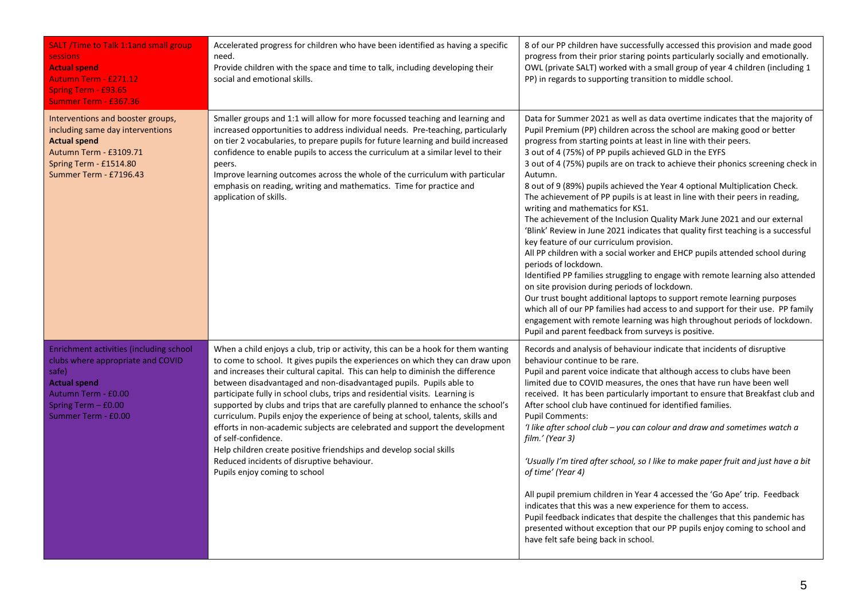| <b>SALT</b> /Time to Talk 1:1and small group<br><b>sessions</b><br><b>Actual spend</b><br><b>Autumn Term - £271.12</b><br>Spring Term - £93.65<br><b>Summer Term - £367.36</b>      | Accelerated progress for children who have been identified as having a specific<br>need.<br>Provide children with the space and time to talk, including developing their<br>social and emotional skills.                                                                                                                                                                                                                                                                                                                                                                                                                                                                                                                                                                                                                                      | 8 of our PP children have successfully accessed this provision and made good<br>progress from their prior staring points particularly socially and emotionally.<br>OWL (private SALT) worked with a small group of year 4 children (including 1<br>PP) in regards to supporting transition to middle school.                                                                                                                                                                                                                                                                                                                                                                                                                                                                                                                                                                                                                                                                                                                                                                                                                                                                                                                                                                                                                                    |
|-------------------------------------------------------------------------------------------------------------------------------------------------------------------------------------|-----------------------------------------------------------------------------------------------------------------------------------------------------------------------------------------------------------------------------------------------------------------------------------------------------------------------------------------------------------------------------------------------------------------------------------------------------------------------------------------------------------------------------------------------------------------------------------------------------------------------------------------------------------------------------------------------------------------------------------------------------------------------------------------------------------------------------------------------|-------------------------------------------------------------------------------------------------------------------------------------------------------------------------------------------------------------------------------------------------------------------------------------------------------------------------------------------------------------------------------------------------------------------------------------------------------------------------------------------------------------------------------------------------------------------------------------------------------------------------------------------------------------------------------------------------------------------------------------------------------------------------------------------------------------------------------------------------------------------------------------------------------------------------------------------------------------------------------------------------------------------------------------------------------------------------------------------------------------------------------------------------------------------------------------------------------------------------------------------------------------------------------------------------------------------------------------------------|
| Interventions and booster groups,<br>including same day interventions<br><b>Actual spend</b><br>Autumn Term - £3109.71<br>Spring Term - £1514.80<br>Summer Term - £7196.43          | Smaller groups and 1:1 will allow for more focussed teaching and learning and<br>increased opportunities to address individual needs. Pre-teaching, particularly<br>on tier 2 vocabularies, to prepare pupils for future learning and build increased<br>confidence to enable pupils to access the curriculum at a similar level to their<br>peers.<br>Improve learning outcomes across the whole of the curriculum with particular<br>emphasis on reading, writing and mathematics. Time for practice and<br>application of skills.                                                                                                                                                                                                                                                                                                          | Data for Summer 2021 as well as data overtime indicates that the majority of<br>Pupil Premium (PP) children across the school are making good or better<br>progress from starting points at least in line with their peers.<br>3 out of 4 (75%) of PP pupils achieved GLD in the EYFS<br>3 out of 4 (75%) pupils are on track to achieve their phonics screening check in<br>Autumn.<br>8 out of 9 (89%) pupils achieved the Year 4 optional Multiplication Check.<br>The achievement of PP pupils is at least in line with their peers in reading,<br>writing and mathematics for KS1.<br>The achievement of the Inclusion Quality Mark June 2021 and our external<br>'Blink' Review in June 2021 indicates that quality first teaching is a successful<br>key feature of our curriculum provision.<br>All PP children with a social worker and EHCP pupils attended school during<br>periods of lockdown.<br>Identified PP families struggling to engage with remote learning also attended<br>on site provision during periods of lockdown.<br>Our trust bought additional laptops to support remote learning purposes<br>which all of our PP families had access to and support for their use. PP family<br>engagement with remote learning was high throughout periods of lockdown.<br>Pupil and parent feedback from surveys is positive. |
| Enrichment activities (including school<br>clubs where appropriate and COVID<br>safe)<br><b>Actual spend</b><br>Autumn Term - £0.00<br>Spring Term $-$ £0.00<br>Summer Term - £0.00 | When a child enjoys a club, trip or activity, this can be a hook for them wanting<br>to come to school. It gives pupils the experiences on which they can draw upon<br>and increases their cultural capital. This can help to diminish the difference<br>between disadvantaged and non-disadvantaged pupils. Pupils able to<br>participate fully in school clubs, trips and residential visits. Learning is<br>supported by clubs and trips that are carefully planned to enhance the school's<br>curriculum. Pupils enjoy the experience of being at school, talents, skills and<br>efforts in non-academic subjects are celebrated and support the development<br>of self-confidence.<br>Help children create positive friendships and develop social skills<br>Reduced incidents of disruptive behaviour.<br>Pupils enjoy coming to school | Records and analysis of behaviour indicate that incidents of disruptive<br>behaviour continue to be rare.<br>Pupil and parent voice indicate that although access to clubs have been<br>limited due to COVID measures, the ones that have run have been well<br>received. It has been particularly important to ensure that Breakfast club and<br>After school club have continued for identified families.<br><b>Pupil Comments:</b><br>'I like after school club - you can colour and draw and sometimes watch a<br>film.' (Year 3)<br>'Usually I'm tired after school, so I like to make paper fruit and just have a bit<br>of time' (Year 4)<br>All pupil premium children in Year 4 accessed the 'Go Ape' trip. Feedback<br>indicates that this was a new experience for them to access.<br>Pupil feedback indicates that despite the challenges that this pandemic has<br>presented without exception that our PP pupils enjoy coming to school and<br>have felt safe being back in school.                                                                                                                                                                                                                                                                                                                                               |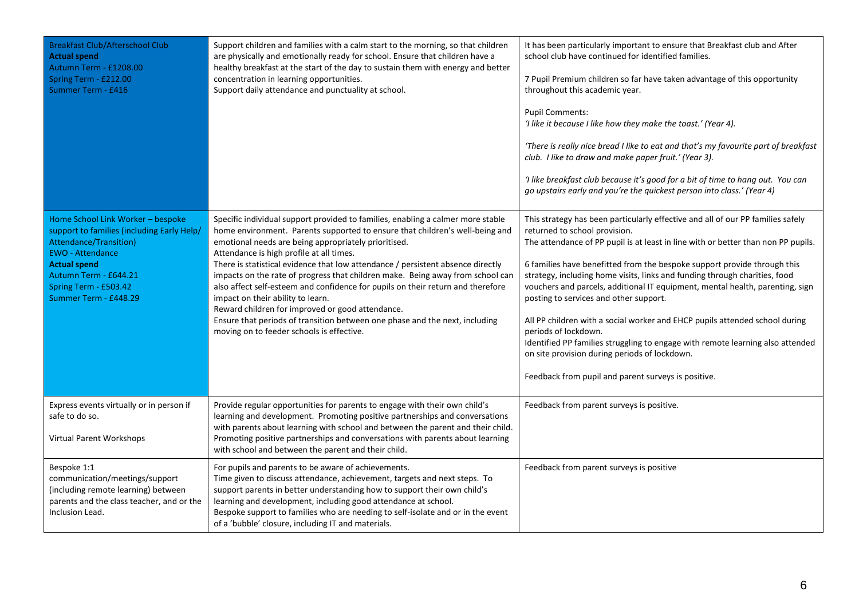| <b>Breakfast Club/Afterschool Club</b><br><b>Actual spend</b><br>Autumn Term - £1208.00<br>Spring Term - £212.00<br>Summer Term - £416                                                                                                 | Support children and families with a calm start to the morning, so that children<br>are physically and emotionally ready for school. Ensure that children have a<br>healthy breakfast at the start of the day to sustain them with energy and better<br>concentration in learning opportunities.<br>Support daily attendance and punctuality at school.                                                                                                                                                                                                                                                                                                                                                                                          | It has been particularly important to ensure that Breakfast club and After<br>school club have continued for identified families.<br>7 Pupil Premium children so far have taken advantage of this opportunity<br>throughout this academic year.<br><b>Pupil Comments:</b><br>'I like it because I like how they make the toast.' (Year 4).<br>'There is really nice bread I like to eat and that's my favourite part of breakfast<br>club. I like to draw and make paper fruit.' (Year 3).<br>'I like breakfast club because it's good for a bit of time to hang out. You can<br>go upstairs early and you're the quickest person into class.' (Year 4)                                                                                                                                     |
|----------------------------------------------------------------------------------------------------------------------------------------------------------------------------------------------------------------------------------------|--------------------------------------------------------------------------------------------------------------------------------------------------------------------------------------------------------------------------------------------------------------------------------------------------------------------------------------------------------------------------------------------------------------------------------------------------------------------------------------------------------------------------------------------------------------------------------------------------------------------------------------------------------------------------------------------------------------------------------------------------|---------------------------------------------------------------------------------------------------------------------------------------------------------------------------------------------------------------------------------------------------------------------------------------------------------------------------------------------------------------------------------------------------------------------------------------------------------------------------------------------------------------------------------------------------------------------------------------------------------------------------------------------------------------------------------------------------------------------------------------------------------------------------------------------|
| Home School Link Worker - bespoke<br>support to families (including Early Help/<br>Attendance/Transition)<br><b>EWO</b> - Attendance<br><b>Actual spend</b><br>Autumn Term - £644.21<br>Spring Term - £503.42<br>Summer Term - £448.29 | Specific individual support provided to families, enabling a calmer more stable<br>home environment. Parents supported to ensure that children's well-being and<br>emotional needs are being appropriately prioritised.<br>Attendance is high profile at all times.<br>There is statistical evidence that low attendance / persistent absence directly<br>impacts on the rate of progress that children make. Being away from school can<br>also affect self-esteem and confidence for pupils on their return and therefore<br>impact on their ability to learn.<br>Reward children for improved or good attendance.<br>Ensure that periods of transition between one phase and the next, including<br>moving on to feeder schools is effective. | This strategy has been particularly effective and all of our PP families safely<br>returned to school provision.<br>The attendance of PP pupil is at least in line with or better than non PP pupils.<br>6 families have benefitted from the bespoke support provide through this<br>strategy, including home visits, links and funding through charities, food<br>vouchers and parcels, additional IT equipment, mental health, parenting, sign<br>posting to services and other support.<br>All PP children with a social worker and EHCP pupils attended school during<br>periods of lockdown.<br>Identified PP families struggling to engage with remote learning also attended<br>on site provision during periods of lockdown.<br>Feedback from pupil and parent surveys is positive. |
| Express events virtually or in person if<br>safe to do so.<br>Virtual Parent Workshops                                                                                                                                                 | Provide regular opportunities for parents to engage with their own child's<br>learning and development. Promoting positive partnerships and conversations<br>with parents about learning with school and between the parent and their child.<br>Promoting positive partnerships and conversations with parents about learning<br>with school and between the parent and their child.                                                                                                                                                                                                                                                                                                                                                             | Feedback from parent surveys is positive.                                                                                                                                                                                                                                                                                                                                                                                                                                                                                                                                                                                                                                                                                                                                                   |
| Bespoke 1:1<br>communication/meetings/support<br>(including remote learning) between<br>parents and the class teacher, and or the<br>Inclusion Lead.                                                                                   | For pupils and parents to be aware of achievements.<br>Time given to discuss attendance, achievement, targets and next steps. To<br>support parents in better understanding how to support their own child's<br>learning and development, including good attendance at school.<br>Bespoke support to families who are needing to self-isolate and or in the event<br>of a 'bubble' closure, including IT and materials.                                                                                                                                                                                                                                                                                                                          | Feedback from parent surveys is positive                                                                                                                                                                                                                                                                                                                                                                                                                                                                                                                                                                                                                                                                                                                                                    |